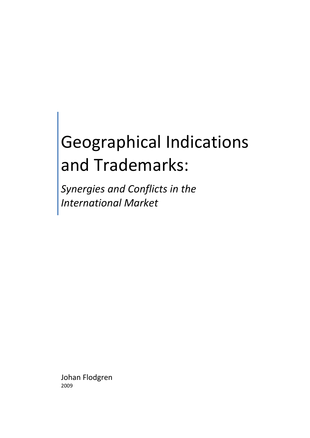# Geographical Indications and Trademarks:

*Synergies and Conflicts in the International Market*

Johan Flodgren 2009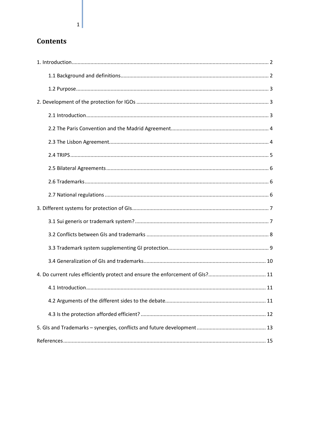# **Contents**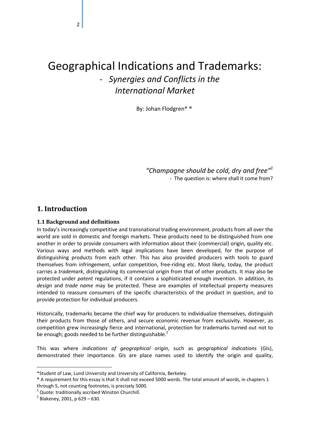# Geographical Indications and Trademarks: - *Synergies and Conflicts in the International Market*

By: Johan Flodgren\* ®

*"Champagne should be cold, dry and free"1* - The question is: where shall it come from?

## <span id="page-2-0"></span>**1. Introduction**

#### <span id="page-2-1"></span>**1.1 Background and definitions**

In today's increasingly competitive and transnational trading environment, products from all over the world are sold in domestic and foreign markets. These products need to be distinguished from one another in order to provide consumers with information about their (commercial) origin, quality etc. Various ways and methods with legal implications have been developed, for the purpose of distinguishing products from each other. This has also provided producers with tools to guard themselves from infringement, unfair competition, free-riding etc. Most likely, today, the product carries a *trademark*, distinguishing its commercial origin from that of other products. It may also be protected under *patent* regulations, if it contains a sophisticated enough invention. In addition, its *design* and *trade name* may be protected. These are examples of intellectual property measures intended to reassure consumers of the specific characteristics of the product in question, and to provide protection for individual producers.

Historically, trademarks became the chief way for producers to individualize themselves, distinguish their products from those of others, and secure economic revenue from exclusivity. However, as competition grew increasingly fierce and international, protection for trademarks turned out not to be enough; goods needed to be further distinguishable.<sup>2</sup>

This was where *indications of geographical origin*, such as *geographical indications* (GIs), demonstrated their importance. GIs are place names used to identify the origin and quality,

 $\overline{a}$ 

<sup>\*</sup>Student of Law, Lund University and University of California, Berkeley.

<sup>®</sup> A requirement for this essay is that it shall not exceed 5000 words. The total amount of words, in chapters 1 through 5, not counting footnotes, is precisely 5000.

 $1$  Quote: traditionally ascribed Winston Churchill.

 $2^{2}$  Blakeney, 2001, p 629 – 630.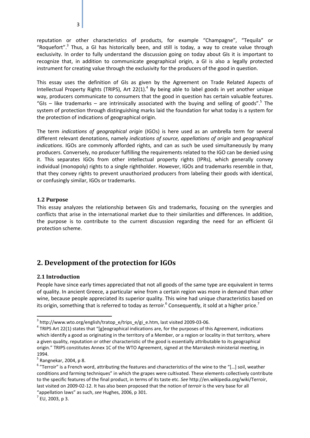reputation or other characteristics of products, for example "Champagne", "Tequila" or "Roquefort".<sup>3</sup> Thus, a GI has historically been, and still is today, a way to create value through exclusivity. In order to fully understand the discussion going on today about GIs it is important to recognize that, in addition to communicate geographical origin, a GI is also a legally protected instrument for creating value through the exclusivity for the producers of the good in question.

This essay uses the definition of GIs as given by the Agreement on Trade Related Aspects of Intellectual Property Rights (TRIPS), Art 22(1).<sup>4</sup> By being able to label goods in yet another unique way, producers communicate to consumers that the good in question has certain valuable features. "GIs – like trademarks – are intrinsically associated with the buying and selling of goods". The system of protection through distinguishing marks laid the foundation for what today is a system for the protection of indications of geographical origin.

The term *indications of geographical origin* (IGOs) is here used as an umbrella term for several different relevant denotations, namely *indications of source, appellations of origin* and *geographical indications*. IGOs are commonly afforded rights, and can as such be used simultaneously by many producers. Conversely, no producer fulfilling the requirements related to the IGO can be denied using it. This separates IGOs from other intellectual property rights (IPRs), which generally convey individual (monopoly) rights to a single rightholder. However, IGOs and trademarks resemble in that, that they convey rights to prevent unauthorized producers from labeling their goods with identical, or confusingly similar, IGOs or trademarks.

#### <span id="page-3-0"></span>**1.2 Purpose**

This essay analyzes the relationship between GIs and trademarks, focusing on the synergies and conflicts that arise in the international market due to their similarities and differences. In addition, the purpose is to contribute to the current discussion regarding the need for an efficient GI protection scheme.

# <span id="page-3-1"></span>**2. Development of the protection for IGOs**

#### <span id="page-3-2"></span>**2.1 Introduction**

People have since early times appreciated that not all goods of the same type are equivalent in terms of quality. In ancient Greece, a particular wine from a certain region was more in demand than other wine, because people appreciated its superior quality. This wine had unique characteristics based on its origin, something that is referred to today as *terroir.*<sup>6</sup> Consequently, it sold at a higher price.7

 $3$  http://www.wto.org/english/tratop\_e/trips\_e/gi\_e.htm, last visited 2009-03-06.<br> $4$  TRIPS Art 22(1) states that "[g]eographical indications are, for the purposes of this Agreement, indications which identify a good as originating in the territory of a Member, or a region or locality in that territory, where a given quality, reputation or other characteristic of the good is essentially attributable to its geographical origin." TRIPS constitutes Annex 1C of the WTO Agreement, signed at the Marrakesh ministerial meeting, in 1994.

 $<sup>5</sup>$  Rangnekar, 2004, p 8.</sup>

 $6$  "Terroir" is a French word, attributing the features and characteristics of the wine to the "[...] soil, weather conditions and farming techniques" in which the grapes were cultivated. These elements collectively contribute to the specific features of the final product, in terms of its taste etc. *See* http://en.wikipedia.org/wiki/Terroir, last visited on 2009-02-12. It has also been proposed that the notion of *terroir* is the very base for all "appellation laws" as such, *see* Hughes, 2006, p 301.

 $<sup>7</sup>$  EU, 2003, p 3.</sup>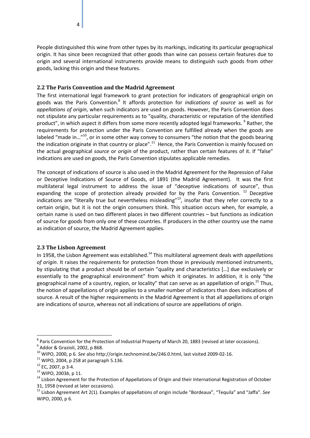People distinguished this wine from other types by its markings, indicating its particular geographical origin. It has since been recognized that other goods than wine can possess certain features due to origin and several international instruments provide means to distinguish such goods from other goods, lacking this origin and these features.

#### <span id="page-4-0"></span>**2.2 The Paris Convention and the Madrid Agreement**

The first international legal framework to grant protection for indicators of geographical origin on goods was the Paris Convention.8 It affords protection for *indications of source* as well as for *appellations of origin*, when such indicators are used on goods. However, the Paris Convention does not stipulate any particular requirements as to "quality, characteristic or reputation of the identified product", in which aspect it differs from some more recently adopted legal frameworks. <sup>9</sup> Rather, the requirements for protection under the Paris Convention are fulfilled already when the goods are labeled "made in..."<sup>10</sup>, or in some other way convey to consumers "the notion that the goods bearing the indication originate in that country or place".<sup>11</sup> Hence, the Paris Convention is mainly focused on the actual geographical *source* or *origin* of the product, rather than certain features of it. If "false" indications are used on goods, the Paris Convention stipulates applicable remedies.

The concept of indications of source is also used in the Madrid Agreement for the Repression of False or Deceptive Indications of Source of Goods, of 1891 (the Madrid Agreement). It was the first multilateral legal instrument to address the issue of "deceptive indications of source", thus expanding the scope of protection already provided for by the Paris Convention.<sup>12</sup> Deceptive indications are "literally true but nevertheless misleading"<sup>13</sup>, insofar that they refer correctly to a certain origin, but it is not the origin consumers think. This situation occurs when, for example, a certain name is used on two different places in two different countries – but functions as indication of source for goods from only one of these countries. If producers in the other country use the name as indication of source, the Madrid Agreement applies.

#### <span id="page-4-1"></span>**2.3 The Lisbon Agreement**

In 1958, the Lisbon Agreement was established.<sup>14</sup> This multilateral agreement deals with *appellations of origin*. It raises the requirements for protection from those in previously mentioned instruments, by stipulating that a product should be of certain "quality and characteristics […] due exclusively or essentially to the geographical environment" from which it originates. In addition, it is only "the geographical name of a country, region, or locality" that can serve as an appellation of origin.<sup>15</sup> Thus, the notion of appellations of origin applies to a smaller number of indicators than does indications of source. A result of the higher requirements in the Madrid Agreement is that all appellations of origin are indications of source, whereas not all indications of source are appellations of origin.

<sup>&</sup>lt;sup>8</sup> Paris Convention for the Protection of Industrial Property of March 20, 1883 (revised at later occasions).  $^{9}$  Addor & Grazioli, 2002, p 868.

<sup>10</sup> WIPO, 2000, p 6. *See* also http://origin.technomind.be/246.0.html, last visited 2009-02-16. 11 WIPO, 2004, p 258 at paragraph 5.136.

 $12$  EC, 2007, p 3-4.<br> $13$  WIPO, 2003b, p 11.

<sup>&</sup>lt;sup>14</sup> Lisbon Agreement for the Protection of Appellations of Origin and their International Registration of October 31, 1958 (revised at later occasions).

<sup>15</sup> Lisbon Agreement Art 2(1). Examples of appellations of origin include "Bordeaux", "Tequila" and "Jaffa". *See* WIPO, 2000, p 6.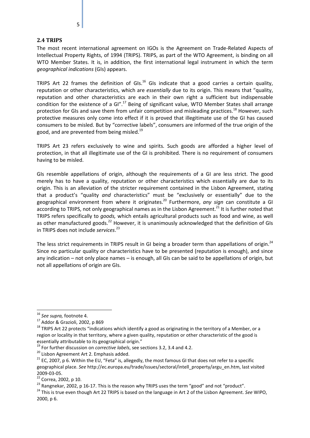#### **2.4 TRIPS**

5

<span id="page-5-0"></span>The most recent international agreement on IGOs is the Agreement on Trade-Related Aspects of Intellectual Property Rights, of 1994 (TRIPS). TRIPS, as part of the WTO Agreement, is binding on all WTO Member States. It is, in addition, the first international legal instrument in which the term *geographical indications* (GIs) appears.

TRIPS Art 22 frames the definition of GIs.<sup>16</sup> GIs indicate that a good carries a certain quality, reputation or other characteristics, which are *essentially* due to its origin. This means that "quality, reputation and other characteristics are each in their own right a sufficient but indispensable condition for the existence of a GI".<sup>17</sup> Being of significant value, WTO Member States shall arrange protection for GIs and save them from unfair competition and misleading practices.<sup>18</sup> However, such protective measures only come into effect if it is proved that illegitimate use of the GI has caused consumers to be misled. But by "corrective labels", consumers are informed of the true origin of the good, and are prevented from being misled. $^{19}$ 

TRIPS Art 23 refers exclusively to wine and spirits. Such goods are afforded a higher level of protection, in that all illegitimate use of the GI is prohibited. There is no requirement of consumers having to be misled.

GIs resemble appellations of origin, although the requirements of a GI are less strict. The good merely has to have a quality, reputation or other characteristics which essentially are due to its origin. This is an alleviation of the stricter requirement contained in the Lisbon Agreement, stating that a product's "quality *and* characteristics" must be "exclusively or essentially" due to the geographical environment from where it originates.20 Furthermore, *any sign* can constitute a GI according to TRIPS, not only geographical names as in the Lisbon Agreement.<sup>21</sup> It is further noted that TRIPS refers specifically to *goods,* which entails agricultural products such as food and wine, as well as other manufactured goods.<sup>22</sup> However, it is unanimously acknowledged that the definition of GIs in TRIPS does not include *services*. 23

The less strict requirements in TRIPS result in GI being a broader term than appellations of origin.<sup>24</sup> Since no particular quality or characteristics have to be presented (reputation is enough), and since any indication – not only place names – is enough, all GIs can be said to be appellations of origin, but not all appellations of origin are GIs.

 <sup>16</sup> *See supra,* footnote 4.

<sup>17</sup> Addor & Grazioli, 2002, p 869

<sup>&</sup>lt;sup>18</sup> TRIPS Art 22 protects "indications which identify a good as originating in the territory of a Member, or a region or locality in that territory, where a given quality, reputation or other characteristic of the good is essentially attributable to its geographical origin."

<sup>19</sup> For further discussion on *corrective labels*, see sections 3.2, 3.4 and 4.2.

<sup>&</sup>lt;sup>20</sup> Lisbon Agreement Art 2. Emphasis added.<br><sup>21</sup> EC, 2007, p 6. Within the EU, "Feta" is, allegedly, the most famous GI that does not refer to a specific geographical place. *See* http://ec.europa.eu/trade/issues/sectoral/intell\_property/argu\_en.htm, last visited 2009-03-05.

<sup>22</sup> Correa, 2002, p 10.

<sup>&</sup>lt;sup>23</sup> Rangnekar, 2002, p 16-17. This is the reason why TRIPS uses the term "good" and not "product".<br><sup>24</sup> This is true even though Art 22 TRIPS is based on the language in Art 2 of the Lisbon Agreement. *See* WIPO, 2000, p 6.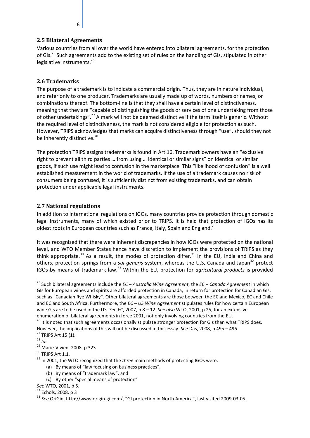#### **2.5 Bilateral Agreements**

<span id="page-6-0"></span>Various countries from all over the world have entered into bilateral agreements, for the protection of GIs.<sup>25</sup> Such agreements add to the existing set of rules on the handling of GIs, stipulated in other legislative instruments.<sup>26</sup>

#### <span id="page-6-1"></span>**2.6 Trademarks**

The purpose of a trademark is to indicate a commercial origin. Thus, they are in nature individual, and refer only to one producer. Trademarks are usually made up of words, numbers or names, or combinations thereof. The bottom-line is that they shall have a certain level of distinctiveness, meaning that they are "capable of distinguishing the goods or services of one undertaking from those of other undertakings".<sup>27</sup> A mark will not be deemed distinctive if the term itself is generic. Without the required level of distinctiveness, the mark is not considered eligible for protection as such. However, TRIPS acknowledges that marks can acquire distinctiveness through "use", should they not be inherently distinctive.<sup>28</sup>

The protection TRIPS assigns trademarks is found in Art 16. Trademark owners have an "exclusive right to prevent all third parties … from using … identical or similar signs" on identical or similar goods, if such use might lead to confusion in the marketplace. This "likelihood of confusion" is a well established measurement in the world of trademarks. If the use of a trademark causes no risk of consumers being confused, it is sufficiently distinct from existing trademarks, and can obtain protection under applicable legal instruments.

#### <span id="page-6-2"></span>**2.7 National regulations**

In addition to international regulations on IGOs, many countries provide protection through domestic legal instruments, many of which existed prior to TRIPS. It is held that protection of IGOs has its oldest roots in European countries such as France, Italy, Spain and England.<sup>29</sup>

It was recognized that there were inherent discrepancies in how IGOs were protected on the national level, and WTO Member States hence have discretion to implement the provisions of TRIPS as they think appropriate.<sup>30</sup> As a result, the modes of protection differ.<sup>31</sup> In the EU, India and China and others, protection springs from a *sui generis* system, whereas the U.S, Canada and Japan<sup>32</sup> protect IGOs by means of trademark law.<sup>33</sup> Within the EU, protection for *agricultural products* is provided

 <sup>25</sup> Such bilateral agreements include the *EC – Australia Wine Agreement*, the *EC – Canada Agreement* in which GIs for European wines and spirits are afforded protection in Canada, in return for protection for Canadian GIs, such as "Canadian Rye Whisky". Other bilateral agreements are those between the EC and Mexico, EC and Chile and EC and South Africa. Furthermore, the *EC – US Wine Agreement* stipulates rules for how certain European wine GIs are to be used in the US. *See* EC, 2007, p 8 – 12. *See also* WTO, 2001, p 25, for an extensive enumeration of bilateral agreements in force 2001, not only involving countries from the EU.

<sup>&</sup>lt;sup>26</sup> It is noted that such agreements occasionally stipulate stronger protection for GIs than what TRIPS does. However, the implications of this will not be discussed in this essay. *See* Das, 2008, p 495 – 496.

 $27$  TRIPS Art 15 (1).

<sup>28</sup> *Id.*

<sup>29</sup> Marie-Vivien, 2008, p 323

<sup>&</sup>lt;sup>30</sup> TRIPS Art 1.1.<br><sup>31</sup> In 2001, the WTO recognized that the *three* main methods of protecting IGOs were:

<sup>(</sup>a) By means of "law focusing on business practices",

<sup>(</sup>b) By means of "trademark law", and

<sup>(</sup>c) By other "special means of protection"

*See* WTO, 2001, p 5.

 $32$  Echols, 2008, p 3

<sup>33</sup> *See* OriGin, http://www.origin-gi.com/, "GI protection in North America", last visited 2009-03-05.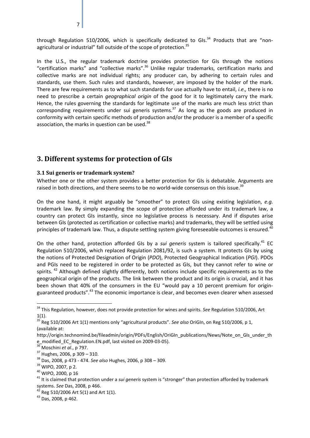through Regulation 510/2006, which is specifically dedicated to GIs.<sup>34</sup> Products that are "nonagricultural or industrial" fall outside of the scope of protection.<sup>35</sup>

In the U.S., the regular trademark doctrine provides protection for GIs through the notions "certification marks" and "collective marks".36 Unlike regular trademarks, certification marks and collective marks are not individual rights; any producer can, by adhering to certain rules and standards, use them. Such rules and standards, however, are imposed by the holder of the mark. There are few requirements as to what such standards for use actually have to entail, *i.e.,* there is no need to prescribe a certain *geographical origin* of the good for it to legitimately carry the mark. Hence, the rules governing the standards for legitimate use of the marks are much less strict than corresponding requirements under sui generis systems. $37$  As long as the goods are produced in conformity with certain specific methods of production and/or the producer is a member of a specific association, the marks in question can be used. $38$ 

# <span id="page-7-0"></span>**3. Different systems for protection of GIs**

#### <span id="page-7-1"></span>**3.1 Sui generis or trademark system?**

Whether one or the other system provides a better protection for GIs is debatable. Arguments are raised in both directions, and there seems to be no world-wide consensus on this issue.<sup>39</sup>

On the one hand, it might arguably be "smoother" to protect GIs using existing legislation, *e.g.* trademark law. By simply expanding the scope of protection afforded under its trademark law, a country can protect GIs instantly, since no legislative process is necessary. And if disputes arise between GIs (protected as certification or collective marks) and trademarks, they will be settled using principles of trademark law. Thus, a dispute settling system giving foreseeable outcomes is ensured.<sup>40</sup>

On the other hand, protection afforded GIs by a *sui generis* system is tailored specifically.41 EC Regulation 510/2006, which replaced Regulation 2081/92, is such a system. It protects GIs by using the notions of Protected Designation of Origin (*PDO*), Protected Geographical Indication (*PGI*). PDOs and PGIs need to be registered in order to be protected as GIs, but they cannot refer to wine or spirits.<sup>42</sup> Although defined slightly differently, both notions include specific requirements as to the geographical origin of the products. The link between the product and its origin is crucial, and it has been shown that 40% of the consumers in the EU "would pay a 10 percent premium for originguaranteed products".<sup>43</sup> The economic importance is clear, and becomes even clearer when assessed

 <sup>34</sup> This Regulation, however, does not provide protection for wines and spirits. *See* Regulation 510/2006, Art  $1(1).$ 

<sup>35</sup> Reg 510/2006 Art 1(1) mentions only "agricultural products". *See also* OriGIn, on Reg 510/2006, p 1, (available at:

http://origin.technomind.be/fileadmin/origin/PDFs/English/OriGIn\_publications/News/Note\_on\_GIs\_under\_th e\_modified\_EC\_Regulation.EN.pdf, last visited on 2009-03-05).

<sup>36</sup> Moschini *et al*., p 797.

 $37$  Hughes, 2006, p 309 – 310.

<sup>&</sup>lt;sup>38</sup> Das, 2008, p 473 - 474. *See also* Hughes, 2006, p 308 – 309.<br><sup>39</sup> WIPO, 2007, p 2.<br><sup>40</sup> WIPO, 2000, p 16

<sup>&</sup>lt;sup>41</sup> It is claimed that protection under a *sui generis* system is "stronger" than protection afforded by trademark systems. *See* Das, 2008, p 466.<br><sup>42</sup> Reg 510/2006 Art 5(1) and Art 1(1).

<sup>43</sup> Das, 2008, p 462.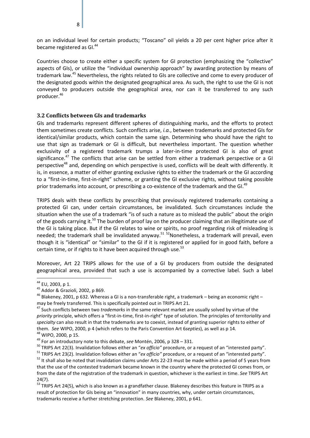on an individual level for certain products; "Toscano" oil yields a 20 per cent higher price after it became registered as GI.<sup>44</sup>

Countries choose to create either a specific system for GI protection (emphasizing the "collective" aspects of GIs), or utilize the "individual ownership approach" by awarding protection by means of trademark law.<sup>45</sup> Nevertheless, the rights related to GIs are collective and come to every producer of the designated goods within the designated geographical area. As such, the right to use the GI is not conveyed to producers outside the geographical area, nor can it be transferred to any such producer.46

#### <span id="page-8-0"></span>**3.2 Conflicts between GIs and trademarks**

GIs and trademarks represent different spheres of distinguishing marks, and the efforts to protect them sometimes create conflicts. Such conflicts arise, *i.a.*, between trademarks and protected GIs for identical/similar products, which contain the same sign. Determining who should have the right to use that sign as trademark or GI is difficult, but nevertheless important. The question whether exclusivity of a registered trademark trumps a later-in-time protected GI is also of great significance.<sup>47</sup> The conflicts that arise can be settled from either a trademark perspective or a GI perspective<sup>48</sup> and, depending on which perspective is used, conflicts will be dealt with differently. It is, in essence, a matter of either granting exclusive rights to either the trademark or the GI according to a "first-in-time, first-in-right" scheme, or granting the GI exclusive rights, without taking possible prior trademarks into account, or prescribing a co-existence of the trademark and the GI.<sup>49</sup>

TRIPS deals with these conflicts by prescribing that previously registered trademarks containing a protected GI can, under certain circumstances, be invalidated. Such circumstances include the situation when the use of a trademark "is of such a nature as to mislead the public" about the origin of the goods carrying it.<sup>50</sup> The burden of proof lay on the producer claiming that an illegitimate use of the GI is taking place. But if the GI relates to wine or spirits, no proof regarding risk of misleading is needed; the trademark shall be invalidated anyway.<sup>51 52</sup>Nonetheless, a trademark will prevail, even though it is "identical" or "similar" to the GI if it is registered or applied for in good faith, before a certain time, or if rights to it have been acquired through use. $53$ 

Moreover, Art 22 TRIPS allows for the use of a GI by producers from outside the designated geographical area, provided that such a use is accompanied by a corrective label. Such a label

<sup>&</sup>lt;sup>44</sup> EU, 2003, p 1.<br><sup>45</sup> Addor & Grazioli, 2002, p 869.

 $46$  Blakeney, 2001, p 632. Whereas a GI is a non-transferable right, a trademark – being an economic right – may be freely transferred. This is specifically pointed out in TRIPS Art 21.

<sup>47</sup> Such conflicts between two *trademarks* in the same relevant market are usually solved by virtue of the *priority* principle, which offers a "first-in-time, first-in-right" type of solution. The principles of *territoriality* and *specialty* can also result in that the trademarks are to coexist, instead of granting superior rights to either of them. *See* WIPO, 2000, p 4 (which refers to the Paris Convention Art 6*septies*), as well as p 14.<br><sup>48</sup> WIPO, 2000, p 15.

<sup>49</sup> For an introductory note to this debate, *see* Montén, 2006, p 328 – 331.

<sup>&</sup>lt;sup>50</sup> TRIPS Art 22(3). Invalidation follows either an "ex officio" procedure, or a request of an "interested party".<br><sup>51</sup> TRIPS Art 23(2). Invalidation follows either an "ex officio" procedure, or a request of an "interest

<sup>&</sup>lt;sup>52</sup> It shall also be noted that invalidation claims under Arts 22-23 must be made within a period of 5 years from that the use of the contested trademark became known in the country where the protected GI comes from, or from the date of the registration of the trademark in question, whichever is the earliest in time. *See* TRIPS Art 24(7).

<sup>&</sup>lt;sup>53</sup> TRIPS Art 24(5), which is also known as a grandfather clause. Blakeney describes this feature in TRIPS as a result of protection for GIs being an "innovation" in many countries, why, under certain circumstances, trademarks receive a further stretching protection. *See* Blakeney, 2001, p 641.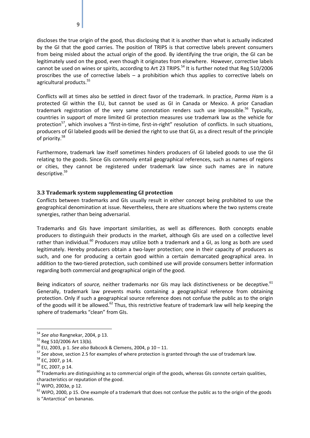discloses the true origin of the good, thus disclosing that it is another than what is actually indicated by the GI that the good carries. The position of TRIPS is that corrective labels prevent consumers from being misled about the actual origin of the good. By identifying the true origin, the GI can be legitimately used on the good, even though it originates from elsewhere. However, corrective labels cannot be used on wines or spirits, according to Art 23 TRIPS.<sup>54</sup> It is further noted that Reg 510/2006 proscribes the use of corrective labels – a prohibition which thus applies to corrective labels on agricultural products.<sup>55</sup>

Conflicts will at times also be settled in direct favor of the trademark. In practice, *Parma Ham* is a protected GI within the EU, but cannot be used as GI in Canada or Mexico. A prior Canadian trademark registration of the very same connotation renders such use impossible.<sup>56</sup> Typically, countries in support of more limited GI protection measures use trademark law as the vehicle for protection<sup>57</sup>, which involves a "first-in-time, first-in-right" resolution of conflicts. In such situations, producers of GI labeled goods will be denied the right to use that GI, as a direct result of the principle of priority.<sup>58</sup>

Furthermore, trademark law itself sometimes hinders producers of GI labeled goods to use the GI relating to the goods. Since GIs commonly entail geographical references, such as names of regions or cities, they cannot be registered under trademark law since such names are in nature descriptive.<sup>59</sup>

#### <span id="page-9-0"></span>**3.3 Trademark system supplementing GI protection**

Conflicts between trademarks and GIs usually result in either concept being prohibited to use the geographical denomination at issue. Nevertheless, there are situations where the two systems create synergies, rather than being adversarial.

Trademarks and GIs have important similarities, as well as differences. Both concepts enable producers to distinguish their products in the market, although GIs are used on a collective level rather than individual.<sup>60</sup> Producers may utilize both a trademark and a GI, as long as both are used legitimately. Hereby producers obtain a two-layer protection; one in their capacity of producers as such, and one for producing a certain good within a certain demarcated geographical area. In addition to the two-tiered protection, such combined use will provide consumers better information regarding both commercial and geographical origin of the good.

Being indicators of *source*, neither trademarks nor GIs may lack distinctiveness or be deceptive.<sup>61</sup> Generally, trademark law prevents marks containing a geographical reference from obtaining protection. Only if such a geographical source reference does not confuse the public as to the origin of the goods will it be allowed.<sup>62</sup> Thus, this restrictive feature of trademark law will help keeping the sphere of trademarks "clean" from GIs.

 <sup>54</sup> *See also* Rangnekar, 2004, p 13.

<sup>55</sup> Reg 510/2006 Art 13(b).

<sup>56</sup> EU, 2003, p 1. *See also* Babcock & Clemens, 2004, p 10 – 11.

<sup>57</sup> *See* above, section 2.5 for examples of where protection is granted through the use of trademark law.

<sup>58</sup> EC, 2007, p 14.

<sup>59</sup> EC, 2007, p 14.

 $60$  Trademarks are distinguishing as to commercial origin of the goods, whereas GIs connote certain qualities, characteristics or reputation of the good.

<sup>61</sup> WIPO, 2003*a*, p 12.

 $62$  WIPO, 2000, p 15. One example of a trademark that does not confuse the public as to the origin of the goods is "Antarctica" on bananas.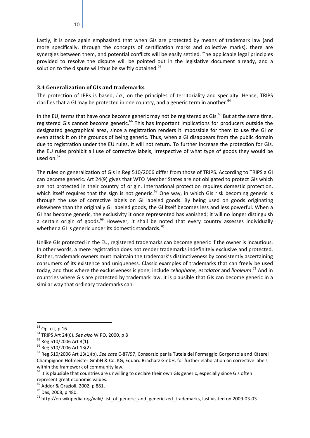Lastly, it is once again emphasized that when GIs are protected by means of trademark law (and more specifically, through the concepts of certification marks and collective marks), there are synergies between them, and potential conflicts will be easily settled. The applicable legal principles provided to resolve the dispute will be pointed out in the legislative document already, and a solution to the dispute will thus be swiftly obtained. $63$ 

#### <span id="page-10-0"></span>**3.4 Generalization of GIs and trademarks**

The protection of IPRs is based, *i.a.,* on the principles of territoriality and specialty. Hence, TRIPS clarifies that a GI may be protected in one country, and a generic term in another.  $64$ 

In the EU, terms that have once become generic may not be registered as GIs.<sup>65</sup> But at the same time, registered GIs cannot become generic.<sup>66</sup> This has important implications for producers outside the designated geographical area, since a registration renders it impossible for them to use the GI or even attack it on the grounds of being generic. Thus, when a GI disappears from the public domain due to registration under the EU rules, it will not return. To further increase the protection for GIs, the EU rules prohibit all use of corrective labels, irrespective of what type of goods they would be used on. $67$ 

The rules on generalization of GIs in Reg 510/2006 differ from those of TRIPS. According to TRIPS a GI can become generic. Art 24(9) gives that WTO Member States are not obligated to protect GIs which are not protected in their country of origin. International protection requires domestic protection, which itself requires that the sign is not generic.<sup>68</sup> One way, in which GIs risk becoming generic is through the use of corrective labels on GI labeled goods. By being used on goods originating elsewhere than the originally GI labeled goods, the GI itself becomes less and less powerful. When a GI has become generic, the exclusivity it once represented has vanished; it will no longer distinguish a certain origin of goods.<sup>69</sup> However, it shall be noted that every country assesses individually whether a GI is generic under its domestic standards.<sup>70</sup>

Unlike GIs protected in the EU, registered trademarks can become generic if the owner is incautious. In other words, a mere registration does not render trademarks indefinitely exclusive and protected. Rather, trademark owners must maintain the trademark's distinctiveness by consistently ascertaining consumers of its existence and uniqueness. Classic examples of trademarks that can freely be used today, and thus where the exclusiveness is gone, include *cellophane, escalator* and *linoleum*. <sup>71</sup> And in countries where GIs are protected by trademark law, it is plausible that GIs can become generic in a similar way that ordinary trademarks can.

 <sup>63</sup> Op. cit, p 16.

<sup>64</sup> TRIPS Art 24(6). *See also* WIPO, 2000, p 8

 $^{65}$  Reg 510/2006 Art 3(1).<br> $^{66}$  Reg 510/2006 Art 13(2).

<sup>66</sup> Reg 510/2006 Art 13(2). 67 Reg 510/2006 Art 13(1)(b). *See case* C-87/97, Consorzio per la Tutela del Formaggio Gorgonzola and Käserei Champignon Hofmeister GmbH & Co. KG, Eduard Bracharz GmbH, for further elaboration on corrective labels within the framework of community law.<br><sup>68</sup> It is plausible that countries are unwilling to declare their own GIs generic, especially since GIs often

represent great economic values.

 $^9$  Addor & Grazioli, 2002, p 881.

<sup>70</sup> Das, 2008, p 480.

<sup>&</sup>lt;sup>71</sup> http://en.wikipedia.org/wiki/List\_of\_generic\_and\_genericized\_trademarks, last visited on 2009-03-03.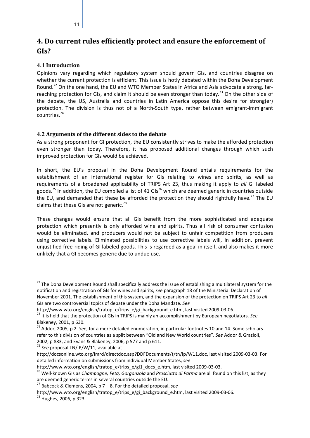# <span id="page-11-0"></span>**4. Do current rules efficiently protect and ensure the enforcement of GIs?**

#### <span id="page-11-1"></span>**4.1 Introduction**

11

Opinions vary regarding which regulatory system should govern GIs, and countries disagree on whether the current protection is efficient. This issue is hotly debated within the Doha Development Round.<sup>72</sup> On the one hand, the EU and WTO Member States in Africa and Asia advocate a strong, farreaching protection for GIs, and claim it should be even stronger than today.<sup>73</sup> On the other side of the debate, the US, Australia and countries in Latin America oppose this desire for strong(er) protection. The division is thus not of a North-South type, rather between emigrant-immigrant countries.74

#### <span id="page-11-2"></span>**4.2 Arguments of the different sides to the debate**

As a strong proponent for GI protection, the EU consistently strives to make the afforded protection even stronger than today. Therefore, it has proposed additional changes through which such improved protection for GIs would be achieved.

In short, the EU's proposal in the Doha Development Round entails requirements for the establishment of an international register for GIs relating to wines and spirits, as well as requirements of a broadened applicability of TRIPS Art 23, thus making it apply to *all* GI labeled goods.<sup>75</sup> In addition, the EU compiled a list of 41 GIs<sup>76</sup> which are deemed generic in countries outside the EU, and demanded that these be afforded the protection they should rightfully have.<sup>77</sup> The EU claims that these GIs are not generic.<sup>78</sup>

These changes would ensure that all GIs benefit from the more sophisticated and adequate protection which presently is only afforded wine and spirits. Thus all risk of consumer confusion would be eliminated, and producers would not be subject to unfair competition from producers using corrective labels. Eliminated possibilities to use corrective labels will, in addition, prevent unjustified free-riding of GI labeled goods. This is regarded as a goal in itself, and also makes it more unlikely that a GI becomes generic due to undue use.

 $72$  The Doha Development Round shall specifically address the issue of establishing a multilateral system for the notification and registration of GIs for wines and spirits, *see* paragraph 18 of the Ministerial Declaration of November 2001. The establishment of this system, and the expansion of the protection on TRIPS Art 23 to *all*  GIs are two controversial topics of debate under the Doha Mandate. *See* 

http://www.wto.org/english/tratop\_e/trips\_e/gi\_background\_e.htm, last visited 2009-03-06.

<sup>73</sup> It is held that the protection of GIs in TRIPS is mainly an accomplishment by European negotiators. *See*  Blakeney, 2001, p 630.

<sup>74</sup> Addor, 2005, p 2. *See*, for a more detailed enumeration, in particular footnotes 10 and 14. Some scholars refer to this division of countries as a split between "Old and New World countries". *See* Addor & Grazioli, 2002, p 883, and Evans & Blakeney, 2006, p 577 and p 611.

<sup>75</sup> *See* proposal TN/IP/W/11, available at

http://docsonline.wto.org/imrd/directdoc.asp?DDFDocuments/t/tn/ip/W11.doc, last visited 2009-03-03. For detailed information on submissions from individual Member States, *see*

http://www.wto.org/english/tratop\_e/trips\_e/gi1\_docs\_e.htm, last visited 2009-03-03.

<sup>76</sup> Well-known GIs as C*hampagne, Feta, Gorgonzola* and *Prosciutto di Parma* are all found on this list, as they are deemed generic terms in several countries outside the EU.

<sup>77</sup> Babcock & Clemens, 2004, p 7 – 8. For the detailed proposal, *see*

http://www.wto.org/english/tratop\_e/trips\_e/gi\_background\_e.htm, last visited 2009-03-06.

<sup>&</sup>lt;sup>78</sup> Hughes, 2006, p 323.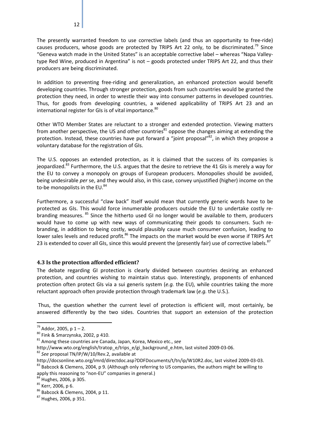The presently warranted freedom to use corrective labels (and thus an opportunity to free-ride) causes producers, whose goods are protected by TRIPS Art 22 only, to be discriminated.<sup>79</sup> Since "Geneva watch made in the United States" is an acceptable corrective label – whereas "Napa Valleytype Red Wine, produced in Argentina" is not – goods protected under TRIPS Art 22, and thus their producers are being discriminated.

In addition to preventing free-riding and generalization, an enhanced protection would benefit developing countries. Through stronger protection, goods from such countries would be granted the protection they need, in order to wrestle their way into consumer patterns in developed countries. Thus, for goods from developing countries, a widened applicability of TRIPS Art 23 and an international register for GIs is of vital importance.<sup>80</sup>

Other WTO Member States are reluctant to a stronger and extended protection. Viewing matters from another perspective, the US and other countries<sup>81</sup> oppose the changes aiming at extending the protection. Instead, these countries have put forward a "joint proposal"<sup>82</sup>, in which they propose a voluntary database for the registration of GIs.

The U.S. opposes an extended protection, as it is claimed that the success of its companies is jeopardized.<sup>83</sup> Furthermore, the U.S. argues that the desire to retrieve the 41 GIs is merely a way for the EU to convey a monopoly on groups of European producers. Monopolies should be avoided, being undesirable *per* se, and they would also, in this case, convey unjustified (higher) income on the to-be monopolists in the EU. $^{84}$ 

Furthermore, a successful "claw back" itself would mean that currently generic words have to be protected as GIs. This would force innumerable producers outside the EU to undertake costly rebranding measures. <sup>85</sup> Since the hitherto used GI no longer would be available to them, producers would have to come up with new ways of communicating their goods to consumers. Such rebranding, in addition to being costly, would plausibly cause much consumer confusion, leading to lower sales levels and reduced profit.<sup>86</sup> The impacts on the market would be even worse if TRIPS Art 23 is extended to cover all GIs, since this would prevent the (presently fair) use of corrective labels. $87$ 

#### <span id="page-12-0"></span>**4.3 Is the protection afforded efficient?**

The debate regarding GI protection is clearly divided between countries desiring an enhanced protection, and countries wishing to maintain status quo. Interestingly, proponents of enhanced protection often protect GIs via a sui generis system (*e.g.* the EU), while countries taking the more reluctant approach often provide protection through trademark law (*e.g.* the U.S.).

Thus, the question whether the current level of protection is efficient will, most certainly, be answered differently by the two sides. Countries that support an extension of the protection

<sup>&</sup>lt;sup>79</sup> Addor, 2005, p 1 – 2.<br><sup>80</sup> Fink & Smarzynska, 2002, p 410.<br><sup>81</sup> Among these countries are Canada, Japan, Korea, Mexico etc., *see* 

http://www.wto.org/english/tratop\_e/trips\_e/gi\_background\_e.htm, last visited 2009-03-06.

<sup>82</sup> *See* proposal TN/IP/W/10/Rev.2, available at

http://docsonline.wto.org/imrd/directdoc.asp?DDFDocuments/t/tn/ip/W10R2.doc, last visited 2009-03-03. 83 Babcock & Clemens, 2004, p 9. (Although only referring to US companies, the authors might be willing to apply this reasoning to "non-EU" companies in general.)

<sup>&</sup>lt;sup>84</sup> Hughes, 2006, p 305.

<sup>85</sup> Kerr, 2006, p 6.

<sup>86</sup> Babcock & Clemens, 2004, p 11.

<sup>87</sup> Hughes, 2006, p 351.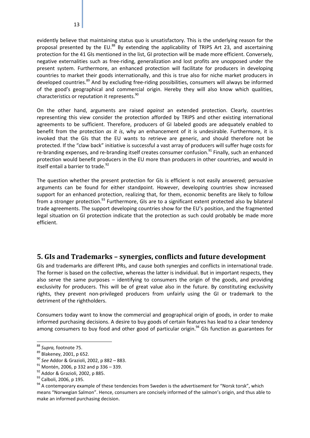evidently believe that maintaining status quo is unsatisfactory. This is the underlying reason for the proposal presented by the EU.<sup>88</sup> By extending the applicability of TRIPS Art 23, and ascertaining protection for the 41 GIs mentioned in the list, GI protection will be made more efficient. Conversely, negative externalities such as free-riding, generalization and lost profits are unopposed under the present system. Furthermore, an enhanced protection will facilitate for producers in developing countries to market their goods internationally, and this is true also for niche market producers in developed countries.<sup>89</sup> And by excluding free-riding possibilities, consumers will always be informed of the good's geographical and commercial origin. Hereby they will also know which qualities, characteristics or reputation it represents.<sup>90</sup>

On the other hand, arguments are raised *against* an extended protection. Clearly, countries representing this view consider the protection afforded by TRIPS and other existing international agreements to be sufficient. Therefore, producers of GI labeled goods are adequately enabled to benefit from the protection *as it is*, why an enhancement of it is undesirable. Furthermore, it is invoked that the GIs that the EU wants to retrieve are generic, and should therefore not be protected. If the "claw back" initiative is successful a vast array of producers will suffer huge costs for re-branding expenses, and re-branding itself creates consumer confusion.<sup>91</sup> Finally, such an enhanced protection would benefit producers in the EU more than producers in other countries, and would in itself entail a barrier to trade.<sup>92</sup>

The question whether the present protection for GIs is efficient is not easily answered; persuasive arguments can be found for either standpoint. However, developing countries show increased support for an enhanced protection, realizing that, for them, economic benefits are likely to follow from a stronger protection.<sup>93</sup> Furthermore, GIs are to a significant extent protected also by bilateral trade agreements. The support developing countries show for the EU's position, and the fragmented legal situation on GI protection indicate that the protection as such could probably be made more efficient.

# <span id="page-13-0"></span>**5. GIs and Trademarks – synergies, conflicts and future development**

GIs and trademarks are different IPRs, and cause both synergies and conflicts in international trade. The former is based on the collective, whereas the latter is individual. But in important respects, they also serve the same purposes – identifying to consumers the origin of the goods, and providing exclusivity for producers. This will be of great value also in the future. By constituting exclusivity rights, they prevent non-privileged producers from unfairly using the GI or trademark to the detriment of the rightholders.

Consumers today want to know the commercial and geographical origin of goods, in order to make informed purchasing decisions. A desire to buy goods of certain features has lead to a clear tendency among consumers to buy food and other good of particular origin.<sup>94</sup> GIs function as guarantees for

 <sup>88</sup> *Supra,* footnote 75.

<sup>&</sup>lt;sup>89</sup> Blakeney, 2001, p 652.<br><sup>90</sup> *See* Addor & Grazioli, 2002, p 882 – 883.<br><sup>91</sup> Montén, 2006, p 332 and p 336 – 339.<br><sup>92</sup> Addor & Grazioli, 2002, p 885.

<sup>93</sup> Calboli, 2006, p 195.

<sup>&</sup>lt;sup>94</sup> A contemporary example of these tendencies from Sweden is the advertisement for "Norsk torsk", which means "Norwegian Salmon". Hence, consumers are concisely informed of the salmon's origin, and thus able to make an informed purchasing decision.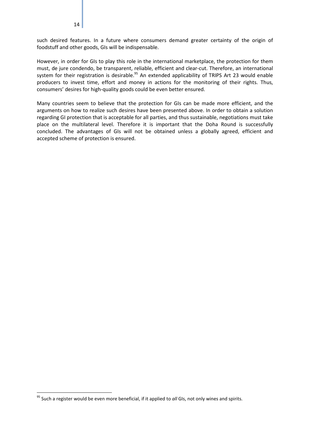such desired features. In a future where consumers demand greater certainty of the origin of foodstuff and other goods, GIs will be indispensable.

However, in order for GIs to play this role in the international marketplace, the protection for them must, de jure condendo, be transparent, reliable, efficient and clear-cut. Therefore, an international system for their registration is desirable.<sup>95</sup> An extended applicability of TRIPS Art 23 would enable producers to invest time, effort and money in actions for the monitoring of their rights. Thus, consumers' desires for high-quality goods could be even better ensured.

Many countries seem to believe that the protection for GIs can be made more efficient, and the arguments on how to realize such desires have been presented above. In order to obtain a solution regarding GI protection that is acceptable for all parties, and thus sustainable, negotiations must take place on the multilateral level. Therefore it is important that the Doha Round is successfully concluded. The advantages of GIs will not be obtained unless a globally agreed, efficient and accepted scheme of protection is ensured.

 <sup>95</sup> Such a register would be even more beneficial, if it applied to *all* GIs, not only wines and spirits.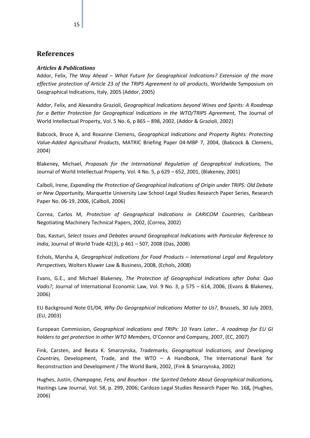### <span id="page-15-0"></span>**References**

#### *Articles & Publications*

Addor, Felix, *The Way Ahead – What Future for Geographical Indications? Extension of the more effective protection of Article 23 of the TRIPS Agreement to all products*, Worldwide Symposium on Geographical Indications, Italy, 2005 (Addor, 2005)

Addor, Felix, and Alexandra Grazioli, *Geographical Indications beyond Wines and Spirits: A Roadmap for a Better Protection for Geographical Indications in the WTO/TRIPS Agreement, The Journal of* World Intellectual Property, Vol. 5 No. 6, p 865 – 898, 2002, (Addor & Grazioli, 2002)

Babcock, Bruce A, and Roxanne Clemens, *Geographical Indications and Property Rights: Protecting Value-Added Agricultural Products*, MATRIC Briefing Paper 04-MBP 7, 2004, (Babcock & Clemens, 2004)

Blakeney, Michael, *Proposals for the International Regulation of Geographical Indications,* The Journal of World Intellectual Property, Vol. 4 No. 5, p 629 – 652, 2001, (Blakeney, 2001)

Calboli, Irene, *Expanding the Protection of Geographical Indications of Origin under TRIPS: Old Debate or New Opportunity,* Marquette University Law School Legal Studies Research Paper Series, Research Paper No. 06-19, 2006, (Calboli, 2006)

Correa, Carlos M, *Protection of Geographical Indications in CARICOM Countries*, Caribbean Negotiating Machinery Technical Papers, 2002, (Correa, 2002)

Das, Kasturi, *Select Issues and Debates around Geographical Indications with Particular Reference to India*, Journal of World Trade 42(3), p 461 – 507, 2008 (Das, 2008)

Echols, Marsha A, *Geographical Indications for Food Products – International Legal and Regulatory Perspectives,* Wolters Kluwer Law & Business, 2008, (Echols, 2008)

Evans, G.E., and Michael Blakeney, *The Protection of Geographical Indications after Doha: Quo Vadis?*, Journal of International Economic Law, Vol. 9 No. 3, p 575 – 614, 2006, (Evans & Blakeney, 2006)

EU Background Note 01/04, *Why Do Geographical Indications Matter to Us?*, Brussels, 30 July 2003, (EU, 2003)

European Commission, *Geographical indications and TRIPs: 10 Years Later… A roadmap for EU GI holders to get protection in other WTO Members,* O'Connor and Company, 2007, (EC, 2007)

Fink, Carsten, and Beata K. Smarzynska, *Trademarks, Geographical Indications, and Developing Countries,* Development, Trade, and the WTO – A Handbook, The International Bank for Reconstruction and Development / The World Bank, 2002, (Fink & Smarzynska, 2002)

Hughes, Justin, *Champagne, Feta, and Bourbon - the Spirited Debate About Geographical Indications,*  Hastings Law Journal, Vol. 58, p. 299, 2006; Cardozo Legal Studies Research Paper No. 168*,* (Hughes, 2006)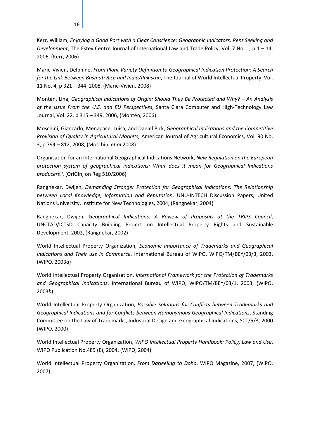Kerr, William, *Enjoying a Good Port with a Clear Conscience: Geographic Indicators, Rent Seeking and Development*, The Estey Centre Journal of International Law and Trade Policy, Vol. 7 No. 1, p 1 – 14, 2006, (Kerr, 2006)

Marie-Vivien, Delphine, *From Plant Variety Definition to Geographical Indication Protection: A Search for the Link Between Basmati Rice and India/Pakistan*, The Journal of World Intellectual Property, Vol. 11 No. 4, p 321 – 344, 2008, (Marie-Vivien, 2008)

Montén, Lina, *Geographical Indications of Origin: Should They Be Protected and Why? – An Analysis of the Issue From the U.S. and EU Perspectives*, Santa Clara Computer and High-Technology Law Journal, Vol. 22, p 315 – 349, 2006, (Montén, 2006)

Moschini, Giancarlo, Menapace, Luisa, and Daniel Pick, *Geographical Indications and the Competitive Provision of Quality in Agricultural Markets,* American Journal of Agricultural Economics, Vol. 90 No. 3, p 794 – 812, 2008, (Moschini *et al.*2008)

Organisation for an International Geographical Indications Network, *New Regulation on the European protection system of geographical indications: What does it mean for Geographical Indications producers?*, (OriGIn, on Reg 510/2006)

Rangnekar, Dwijen, *Demanding Stronger Protection for Geographical Indications: The Relationship between Local Knowledge, Information and Reputation*, UNU-INTECH Discussion Papers, United Nations University, Institute for New Technologies, 2004, (Rangnekar, 2004)

Rangnekar, Dwijen, *Geographical Indications: A Review of Proposals at the TRIPS Council*, UNCTAD/ICTSD Capacity Building Project on Intellectual Property Rights and Sustainable Development, 2002, (Rangnekar, 2002)

World Intellectual Property Organization, *Economic Importance of Trademarks and Geographical Indications and Their use in Commerce*, International Bureau of WIPO, WIPO/TM/BEY/03/3, 2003, (WIPO, 2003*a*)

World Intellectual Property Organization, *International Framework for the Protection of Trademarks and Geographical Indications*, International Bureau of WIPO, WIPO/TM/BEY/03/1, 2003, (WIPO, 2003*b*)

World Intellectual Property Organization, *Possible Solutions for Conflicts between Trademarks and Geographical Indications and for Conflicts between Homonymous Geographical Indications*, Standing Committee on the Law of Trademarks, Industrial Design and Geographical Indications, SCT/5/3, 2000 (WIPO, 2000)

World Intellectual Property Organization, *WIPO Intellectual Property Handbook: Policy, Law and Use*, WIPO Publication No.489 (E), 2004, (WIPO, 2004)

World Intellectual Property Organization, *From Darjeeling to Doha*, WIPO Magazine, 2007, (WIPO, 2007)